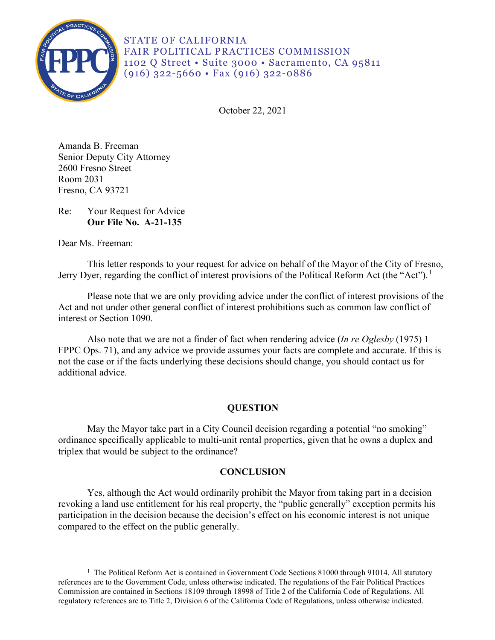

STATE OF CALIFORNIA FAIR POLITICAL PRACTICES COMMISSION 1102 Q Street • Suite 3000 • Sacramento, CA 95811 (916) 322-5660 • Fax (916) 322-0886

October 22, 2021

Amanda B. Freeman Senior Deputy City Attorney 2600 Fresno Street Room 2031 Fresno, CA 93721

Re: Your Request for Advice **Our File No. A-21-135** 

Dear Ms. Freeman:

This letter responds to your request for advice on behalf of the Mayor of the City of Fresno, Jerry Dyer, regarding the conflict of interest provisions of the Political Reform Act (the "Act").<sup>[1](#page-0-0)</sup>

 Act and not under other general conflict of interest prohibitions such as common law conflict of Please note that we are only providing advice under the conflict of interest provisions of the interest or Section 1090.

Also note that we are not a finder of fact when rendering advice (*In re Oglesby* (1975) 1 FPPC Ops. 71), and any advice we provide assumes your facts are complete and accurate. If this is not the case or if the facts underlying these decisions should change, you should contact us for additional advice.

## **QUESTION**

May the Mayor take part in a City Council decision regarding a potential "no smoking" ordinance specifically applicable to multi-unit rental properties, given that he owns a duplex and triplex that would be subject to the ordinance?

## **CONCLUSION**

Yes, although the Act would ordinarily prohibit the Mayor from taking part in a decision revoking a land use entitlement for his real property, the "public generally" exception permits his participation in the decision because the decision's effect on his economic interest is not unique compared to the effect on the public generally.

<span id="page-0-0"></span><sup>&</sup>lt;sup>1</sup> The Political Reform Act is contained in Government Code Sections 81000 through 91014. All statutory references are to the Government Code, unless otherwise indicated. The regulations of the Fair Political Practices Commission are contained in Sections 18109 through 18998 of Title 2 of the California Code of Regulations. All regulatory references are to Title 2, Division 6 of the California Code of Regulations, unless otherwise indicated.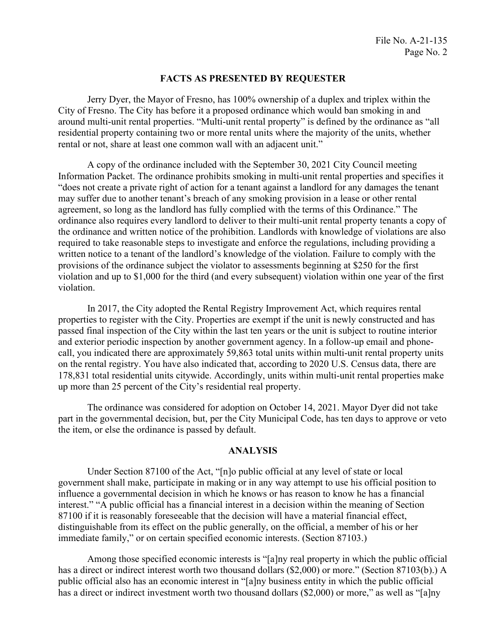## **FACTS AS PRESENTED BY REQUESTER**

 around multi-unit rental properties. "Multi-unit rental property" is defined by the ordinance as "all Jerry Dyer, the Mayor of Fresno, has 100% ownership of a duplex and triplex within the City of Fresno. The City has before it a proposed ordinance which would ban smoking in and residential property containing two or more rental units where the majority of the units, whether rental or not, share at least one common wall with an adjacent unit."

 ordinance also requires every landlord to deliver to their multi-unit rental property tenants a copy of A copy of the ordinance included with the September 30, 2021 City Council meeting Information Packet. The ordinance prohibits smoking in multi-unit rental properties and specifies it "does not create a private right of action for a tenant against a landlord for any damages the tenant may suffer due to another tenant's breach of any smoking provision in a lease or other rental agreement, so long as the landlord has fully complied with the terms of this Ordinance." The the ordinance and written notice of the prohibition. Landlords with knowledge of violations are also required to take reasonable steps to investigate and enforce the regulations, including providing a written notice to a tenant of the landlord's knowledge of the violation. Failure to comply with the provisions of the ordinance subject the violator to assessments beginning at \$250 for the first violation and up to \$1,000 for the third (and every subsequent) violation within one year of the first violation.

In 2017, the City adopted the Rental Registry Improvement Act, which requires rental properties to register with the City. Properties are exempt if the unit is newly constructed and has passed final inspection of the City within the last ten years or the unit is subject to routine interior and exterior periodic inspection by another government agency. In a follow-up email and phonecall, you indicated there are approximately 59,863 total units within multi-unit rental property units on the rental registry. You have also indicated that, according to 2020 U.S. Census data, there are 178,831 total residential units citywide. Accordingly, units within multi-unit rental properties make up more than 25 percent of the City's residential real property.

The ordinance was considered for adoption on October 14, 2021. Mayor Dyer did not take part in the governmental decision, but, per the City Municipal Code, has ten days to approve or veto the item, or else the ordinance is passed by default.

## **ANALYSIS**

 influence a governmental decision in which he knows or has reason to know he has a financial immediate family," or on certain specified economic interests. (Section 87103.) Under Section 87100 of the Act, "[n]o public official at any level of state or local government shall make, participate in making or in any way attempt to use his official position to interest." "A public official has a financial interest in a decision within the meaning of Section 87100 if it is reasonably foreseeable that the decision will have a material financial effect, distinguishable from its effect on the public generally, on the official, a member of his or her

Among those specified economic interests is "[a]ny real property in which the public official has a direct or indirect interest worth two thousand dollars (\$2,000) or more." (Section 87103(b).) A public official also has an economic interest in "[a]ny business entity in which the public official has a direct or indirect investment worth two thousand dollars (\$2,000) or more," as well as "[a]ny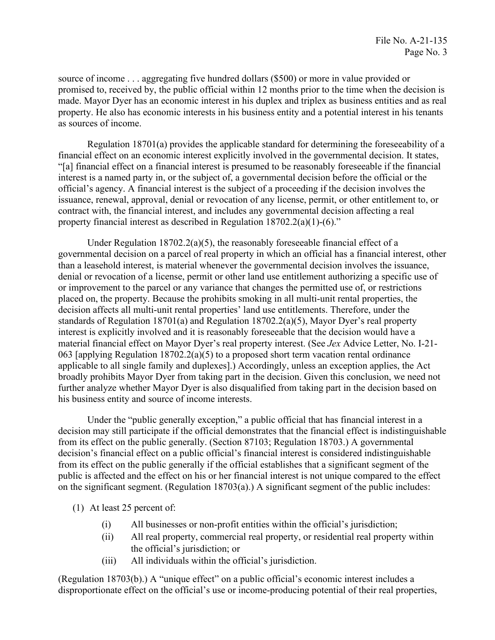made. Mayor Dyer has an economic interest in his duplex and triplex as business entities and as real source of income . . . aggregating five hundred dollars (\$500) or more in value provided or promised to, received by, the public official within 12 months prior to the time when the decision is property. He also has economic interests in his business entity and a potential interest in his tenants as sources of income.

Regulation 18701(a) provides the applicable standard for determining the foreseeability of a financial effect on an economic interest explicitly involved in the governmental decision. It states, "[a] financial effect on a financial interest is presumed to be reasonably foreseeable if the financial interest is a named party in, or the subject of, a governmental decision before the official or the official's agency. A financial interest is the subject of a proceeding if the decision involves the issuance, renewal, approval, denial or revocation of any license, permit, or other entitlement to, or contract with, the financial interest, and includes any governmental decision affecting a real property financial interest as described in Regulation 18702.2(a)(1)-(6)."

 further analyze whether Mayor Dyer is also disqualified from taking part in the decision based on Under Regulation  $18702.2(a)(5)$ , the reasonably foreseeable financial effect of a governmental decision on a parcel of real property in which an official has a financial interest, other than a leasehold interest, is material whenever the governmental decision involves the issuance, denial or revocation of a license, permit or other land use entitlement authorizing a specific use of or improvement to the parcel or any variance that changes the permitted use of, or restrictions placed on, the property. Because the prohibits smoking in all multi-unit rental properties, the decision affects all multi-unit rental properties' land use entitlements. Therefore, under the standards of Regulation 18701(a) and Regulation 18702.2(a)(5), Mayor Dyer's real property interest is explicitly involved and it is reasonably foreseeable that the decision would have a material financial effect on Mayor Dyer's real property interest. (See *Jex* Advice Letter, No. I-21- 063 [applying Regulation 18702.2(a)(5) to a proposed short term vacation rental ordinance applicable to all single family and duplexes].) Accordingly, unless an exception applies, the Act broadly prohibits Mayor Dyer from taking part in the decision. Given this conclusion, we need not his business entity and source of income interests.

Under the "public generally exception," a public official that has financial interest in a decision may still participate if the official demonstrates that the financial effect is indistinguishable from its effect on the public generally. (Section 87103; Regulation 18703.) A governmental decision's financial effect on a public official's financial interest is considered indistinguishable from its effect on the public generally if the official establishes that a significant segment of the public is affected and the effect on his or her financial interest is not unique compared to the effect on the significant segment. (Regulation 18703(a).) A significant segment of the public includes:

(1) At least 25 percent of:

- (i) All businesses or non-profit entities within the official's jurisdiction;
- (ii) All real property, commercial real property, or residential real property within the official's jurisdiction; or
- (iii) All individuals within the official's jurisdiction.

 disproportionate effect on the official's use or income-producing potential of their real properties, (Regulation 18703(b).) A "unique effect" on a public official's economic interest includes a